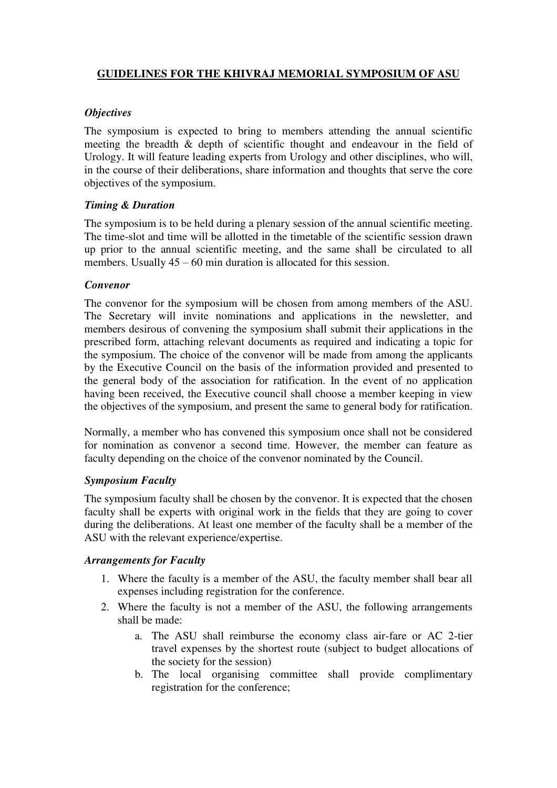# **GUIDELINES FOR THE KHIVRAJ MEMORIAL SYMPOSIUM OF ASU**

## *Objectives*

The symposium is expected to bring to members attending the annual scientific meeting the breadth & depth of scientific thought and endeavour in the field of Urology. It will feature leading experts from Urology and other disciplines, who will, in the course of their deliberations, share information and thoughts that serve the core objectives of the symposium.

### *Timing & Duration*

The symposium is to be held during a plenary session of the annual scientific meeting. The time-slot and time will be allotted in the timetable of the scientific session drawn up prior to the annual scientific meeting, and the same shall be circulated to all members. Usually  $45 - 60$  min duration is allocated for this session.

#### *Convenor*

The convenor for the symposium will be chosen from among members of the ASU. The Secretary will invite nominations and applications in the newsletter, and members desirous of convening the symposium shall submit their applications in the prescribed form, attaching relevant documents as required and indicating a topic for the symposium. The choice of the convenor will be made from among the applicants by the Executive Council on the basis of the information provided and presented to the general body of the association for ratification. In the event of no application having been received, the Executive council shall choose a member keeping in view the objectives of the symposium, and present the same to general body for ratification.

Normally, a member who has convened this symposium once shall not be considered for nomination as convenor a second time. However, the member can feature as faculty depending on the choice of the convenor nominated by the Council.

#### *Symposium Faculty*

The symposium faculty shall be chosen by the convenor. It is expected that the chosen faculty shall be experts with original work in the fields that they are going to cover during the deliberations. At least one member of the faculty shall be a member of the ASU with the relevant experience/expertise.

#### *Arrangements for Faculty*

- 1. Where the faculty is a member of the ASU, the faculty member shall bear all expenses including registration for the conference.
- 2. Where the faculty is not a member of the ASU, the following arrangements shall be made:
	- a. The ASU shall reimburse the economy class air-fare or AC 2-tier travel expenses by the shortest route (subject to budget allocations of the society for the session)
	- b. The local organising committee shall provide complimentary registration for the conference;